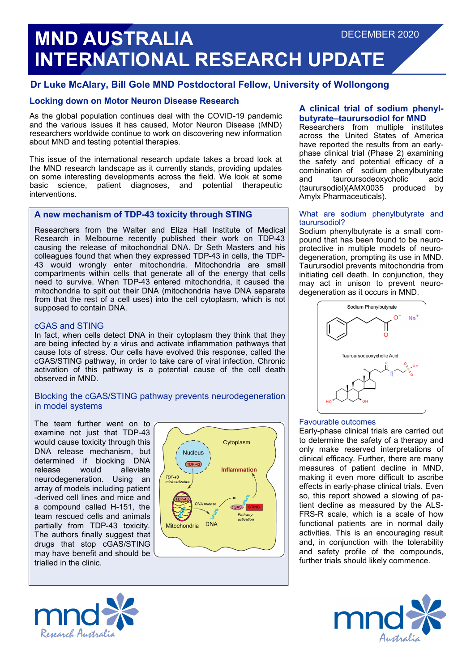# **MND AUSTRALIA INTERNATIONAL RESEARCH UPDATE** DECEMBER 2020

## **Dr Luke McAlary, Bill Gole MND Postdoctoral Fellow, University of Wollongong**

## **Locking down on Motor Neuron Disease Research**

As the global population continues deal with the COVID-19 pandemic and the various issues it has caused, Motor Neuron Disease (MND) researchers worldwide continue to work on discovering new information about MND and testing potential therapies.

This issue of the international research update takes a broad look at the MND research landscape as it currently stands, providing updates on some interesting developments across the field. We look at some basic science, patient diagnoses, and potential therapeutic interventions.

## **A new mechanism of TDP-43 toxicity through STING**

Researchers from the Walter and Eliza Hall Institute of Medical Research in Melbourne recently published their work on TDP-43 causing the release of mitochondrial DNA. Dr Seth Masters and his colleagues found that when they expressed TDP-43 in cells, the TDP-43 would wrongly enter mitochondria. Mitochondria are small compartments within cells that generate all of the energy that cells need to survive. When TDP-43 entered mitochondria, it caused the mitochondria to spit out their DNA (mitochondria have DNA separate from that the rest of a cell uses) into the cell cytoplasm, which is not supposed to contain DNA.

### cGAS and STING

In fact, when cells detect DNA in their cytoplasm they think that they are being infected by a virus and activate inflammation pathways that cause lots of stress. Our cells have evolved this response, called the cGAS/STING pathway, in order to take care of viral infection. Chronic activation of this pathway is a potential cause of the cell death observed in MND.

### Blocking the cGAS/STING pathway prevents neurodegeneration in model systems

The team further went on to examine not just that TDP-43 would cause toxicity through this DNA release mechanism, but determined if blocking DNA release would alleviate neurodegeneration. Using an array of models including patient -derived cell lines and mice and a compound called H-151, the team rescued cells and animals partially from TDP-43 toxicity. The authors finally suggest that drugs that stop cGAS/STING may have benefit and should be trialled in the clinic.





Researchers from multiple institutes across the United States of America have reported the results from an earlyphase clinical trial (Phase 2) examining the safety and potential efficacy of a combination of sodium phenylbutyrate and tauroursodeoxycholic acid (taurursodiol)(AMX0035 produced by Amylx Pharmaceuticals).

#### What are sodium phenylbutyrate and taurursodiol?

Sodium phenylbutyrate is a small compound that has been found to be neuroprotective in multiple models of neurodegeneration, prompting its use in MND. Taurursodiol prevents mitochondria from initiating cell death. In conjunction, they may act in unison to prevent neurodegeneration as it occurs in MND.



#### Favourable outcomes

Early-phase clinical trials are carried out to determine the safety of a therapy and only make reserved interpretations of clinical efficacy. Further, there are many measures of patient decline in MND, making it even more difficult to ascribe effects in early-phase clinical trials. Even so, this report showed a slowing of patient decline as measured by the ALS-FRS-R scale, which is a scale of how functional patients are in normal daily activities. This is an encouraging result and, in conjunction with the tolerability and safety profile of the compounds, further trials should likely commence.